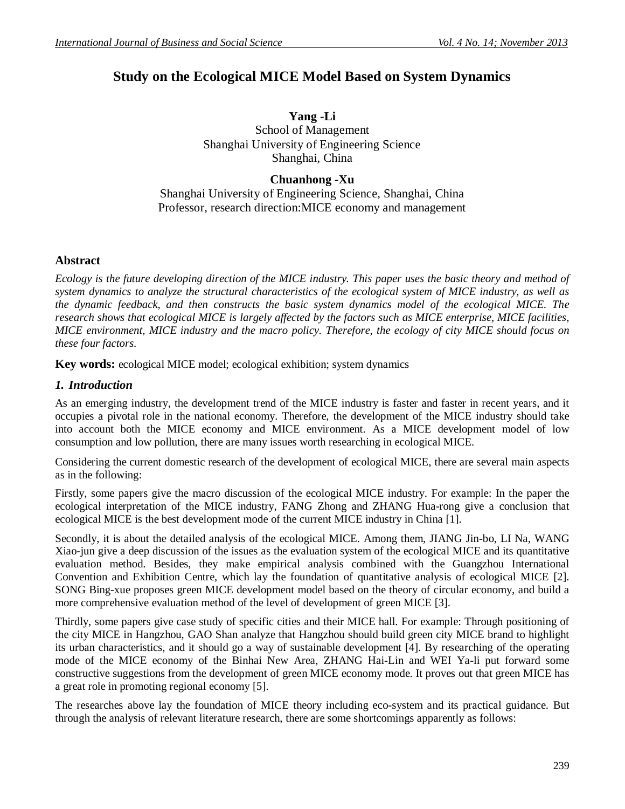# **Study on the Ecological MICE Model Based on System Dynamics**

**Yang -Li** School of Management Shanghai University of Engineering Science Shanghai, China

# **Chuanhong -Xu**

Shanghai University of Engineering Science, Shanghai, China Professor, research direction:MICE economy and management

## **Abstract**

*Ecology is the future developing direction of the MICE industry. This paper uses the basic theory and method of system dynamics to analyze the structural characteristics of the ecological system of MICE industry, as well as the dynamic feedback, and then constructs the basic system dynamics model of the ecological MICE. The research shows that ecological MICE is largely affected by the factors such as MICE enterprise, MICE facilities, MICE environment, MICE industry and the macro policy. Therefore, the ecology of city MICE should focus on these four factors*.

**Key words:** ecological MICE model; ecological exhibition; system dynamics

# *1. Introduction*

As an emerging industry, the development trend of the MICE industry is faster and faster in recent years, and it occupies a pivotal role in the national economy. Therefore, the development of the MICE industry should take into account both the MICE economy and MICE environment. As a MICE development model of low consumption and low pollution, there are many issues worth researching in ecological MICE.

Considering the current domestic research of the development of ecological MICE, there are several main aspects as in the following:

Firstly, some papers give the macro discussion of the ecological MICE industry. For example: In the paper the ecological interpretation of the MICE industry, FANG Zhong and ZHANG Hua-rong give a conclusion that ecological MICE is the best development mode of the current MICE industry in China [1].

Secondly, it is about the detailed analysis of the ecological MICE. Among them, JIANG Jin-bo, LI Na, WANG Xiao-jun give a deep discussion of the issues as the evaluation system of the ecological MICE and its quantitative evaluation method. Besides, they make empirical analysis combined with the Guangzhou International Convention and Exhibition Centre, which lay the foundation of quantitative analysis of ecological MICE [2]. SONG Bing-xue proposes green MICE development model based on the theory of circular economy, and build a more comprehensive evaluation method of the level of development of green MICE [3].

Thirdly, some papers give case study of specific cities and their MICE hall. For example: Through positioning of the city MICE in Hangzhou, GAO Shan analyze that Hangzhou should build green city MICE brand to highlight its urban characteristics, and it should go a way of sustainable development [4]. By researching of the operating mode of the MICE economy of the Binhai New Area, ZHANG Hai-Lin and WEI Ya-li put forward some constructive suggestions from the development of green MICE economy mode. It proves out that green MICE has a great role in promoting regional economy [5].

The researches above lay the foundation of MICE theory including eco-system and its practical guidance. But through the analysis of relevant literature research, there are some shortcomings apparently as follows: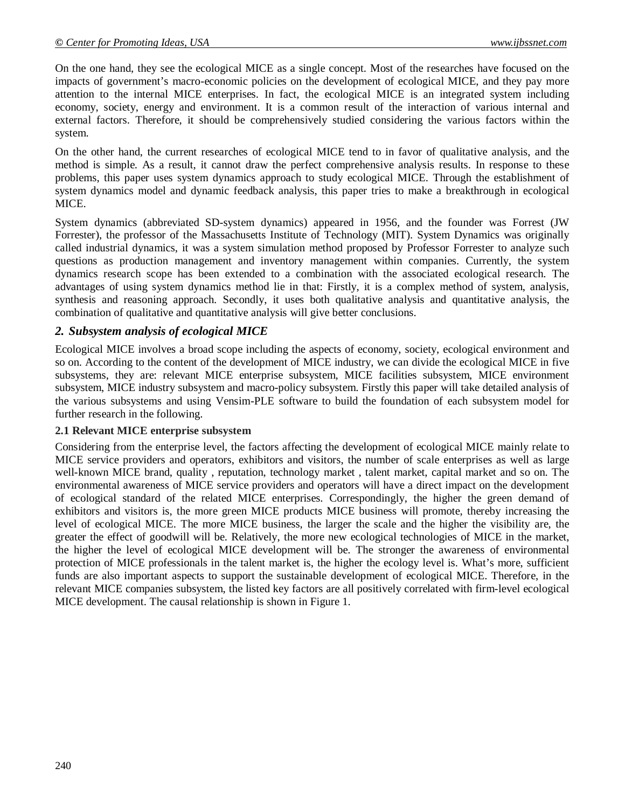On the one hand, they see the ecological MICE as a single concept. Most of the researches have focused on the impacts of government's macro-economic policies on the development of ecological MICE, and they pay more attention to the internal MICE enterprises. In fact, the ecological MICE is an integrated system including economy, society, energy and environment. It is a common result of the interaction of various internal and external factors. Therefore, it should be comprehensively studied considering the various factors within the system.

On the other hand, the current researches of ecological MICE tend to in favor of qualitative analysis, and the method is simple. As a result, it cannot draw the perfect comprehensive analysis results. In response to these problems, this paper uses system dynamics approach to study ecological MICE. Through the establishment of system dynamics model and dynamic feedback analysis, this paper tries to make a breakthrough in ecological MICE.

System dynamics (abbreviated SD-system dynamics) appeared in 1956, and the founder was Forrest (JW Forrester), the professor of the Massachusetts Institute of Technology (MIT). System Dynamics was originally called industrial dynamics, it was a system simulation method proposed by Professor Forrester to analyze such questions as production management and inventory management within companies. Currently, the system dynamics research scope has been extended to a combination with the associated ecological research. The advantages of using system dynamics method lie in that: Firstly, it is a complex method of system, analysis, synthesis and reasoning approach. Secondly, it uses both qualitative analysis and quantitative analysis, the combination of qualitative and quantitative analysis will give better conclusions.

# *2. Subsystem analysis of ecological MICE*

Ecological MICE involves a broad scope including the aspects of economy, society, ecological environment and so on. According to the content of the development of MICE industry, we can divide the ecological MICE in five subsystems, they are: relevant MICE enterprise subsystem, MICE facilities subsystem, MICE environment subsystem, MICE industry subsystem and macro-policy subsystem. Firstly this paper will take detailed analysis of the various subsystems and using Vensim-PLE software to build the foundation of each subsystem model for further research in the following.

## **2.1 Relevant MICE enterprise subsystem**

Considering from the enterprise level, the factors affecting the development of ecological MICE mainly relate to MICE service providers and operators, exhibitors and visitors, the number of scale enterprises as well as large well-known MICE brand, quality , reputation, technology market , talent market, capital market and so on. The environmental awareness of MICE service providers and operators will have a direct impact on the development of ecological standard of the related MICE enterprises. Correspondingly, the higher the green demand of exhibitors and visitors is, the more green MICE products MICE business will promote, thereby increasing the level of ecological MICE. The more MICE business, the larger the scale and the higher the visibility are, the greater the effect of goodwill will be. Relatively, the more new ecological technologies of MICE in the market, the higher the level of ecological MICE development will be. The stronger the awareness of environmental protection of MICE professionals in the talent market is, the higher the ecology level is. What's more, sufficient funds are also important aspects to support the sustainable development of ecological MICE. Therefore, in the relevant MICE companies subsystem, the listed key factors are all positively correlated with firm-level ecological MICE development. The causal relationship is shown in Figure 1.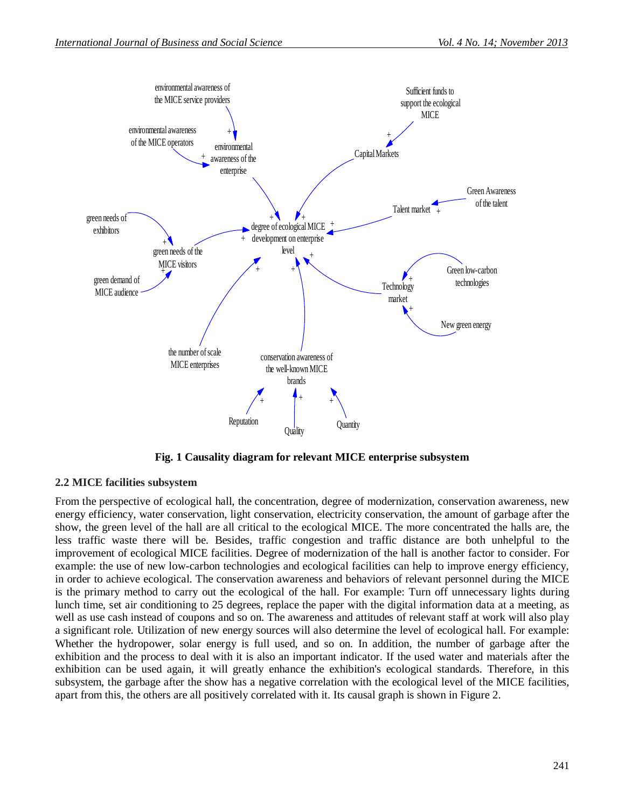

**Fig. 1 Causality diagram for relevant MICE enterprise subsystem**

#### **2.2 MICE facilities subsystem**

From the perspective of ecological hall, the concentration, degree of modernization, conservation awareness, new energy efficiency, water conservation, light conservation, electricity conservation, the amount of garbage after the show, the green level of the hall are all critical to the ecological MICE. The more concentrated the halls are, the less traffic waste there will be. Besides, traffic congestion and traffic distance are both unhelpful to the improvement of ecological MICE facilities. Degree of modernization of the hall is another factor to consider. For example: the use of new low-carbon technologies and ecological facilities can help to improve energy efficiency, in order to achieve ecological. The conservation awareness and behaviors of relevant personnel during the MICE is the primary method to carry out the ecological of the hall. For example: Turn off unnecessary lights during lunch time, set air conditioning to 25 degrees, replace the paper with the digital information data at a meeting, as well as use cash instead of coupons and so on. The awareness and attitudes of relevant staff at work will also play a significant role. Utilization of new energy sources will also determine the level of ecological hall. For example: Whether the hydropower, solar energy is full used, and so on. In addition, the number of garbage after the exhibition and the process to deal with it is also an important indicator. If the used water and materials after the exhibition can be used again, it will greatly enhance the exhibition's ecological standards. Therefore, in this subsystem, the garbage after the show has a negative correlation with the ecological level of the MICE facilities, apart from this, the others are all positively correlated with it. Its causal graph is shown in Figure 2.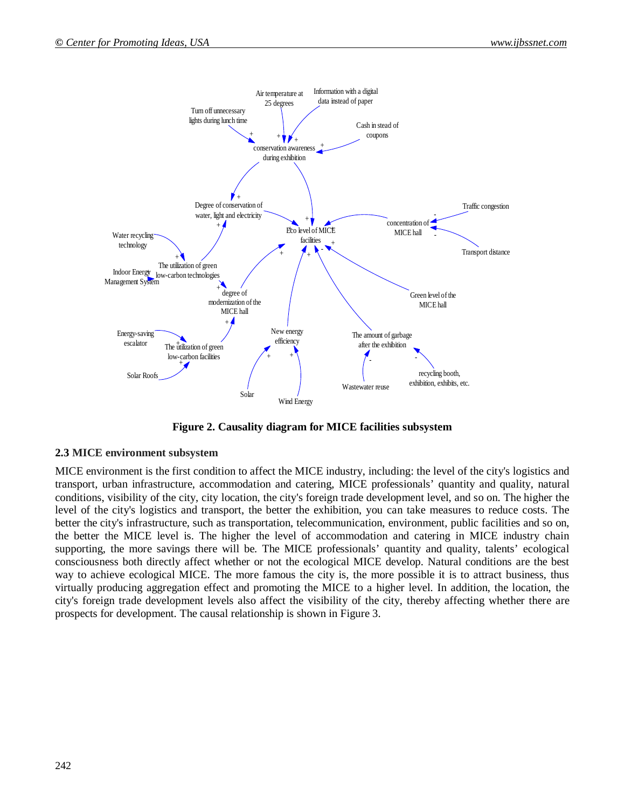

**Figure 2. Causality diagram for MICE facilities subsystem**

#### **2.3 MICE environment subsystem**

MICE environment is the first condition to affect the MICE industry, including: the level of the city's logistics and transport, urban infrastructure, accommodation and catering, MICE professionals' quantity and quality, natural conditions, visibility of the city, city location, the city's foreign trade development level, and so on. The higher the level of the city's logistics and transport, the better the exhibition, you can take measures to reduce costs. The better the city's infrastructure, such as transportation, telecommunication, environment, public facilities and so on, the better the MICE level is. The higher the level of accommodation and catering in MICE industry chain supporting, the more savings there will be. The MICE professionals' quantity and quality, talents' ecological consciousness both directly affect whether or not the ecological MICE develop. Natural conditions are the best way to achieve ecological MICE. The more famous the city is, the more possible it is to attract business, thus virtually producing aggregation effect and promoting the MICE to a higher level. In addition, the location, the city's foreign trade development levels also affect the visibility of the city, thereby affecting whether there are prospects for development. The causal relationship is shown in Figure 3.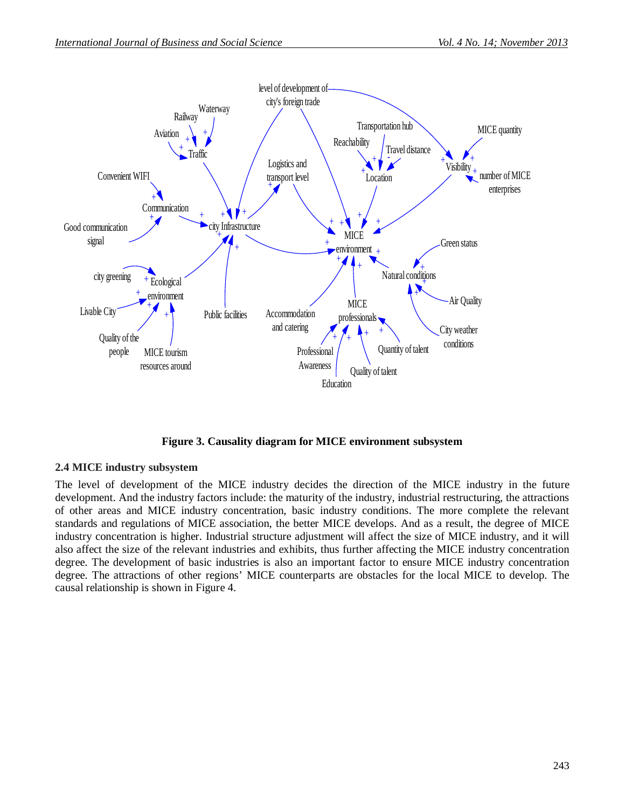

**Figure 3. Causality diagram for MICE environment subsystem**

## **2.4 MICE industry subsystem**

The level of development of the MICE industry decides the direction of the MICE industry in the future development. And the industry factors include: the maturity of the industry, industrial restructuring, the attractions of other areas and MICE industry concentration, basic industry conditions. The more complete the relevant standards and regulations of MICE association, the better MICE develops. And as a result, the degree of MICE industry concentration is higher. Industrial structure adjustment will affect the size of MICE industry, and it will also affect the size of the relevant industries and exhibits, thus further affecting the MICE industry concentration degree. The development of basic industries is also an important factor to ensure MICE industry concentration degree. The attractions of other regions' MICE counterparts are obstacles for the local MICE to develop. The causal relationship is shown in Figure 4.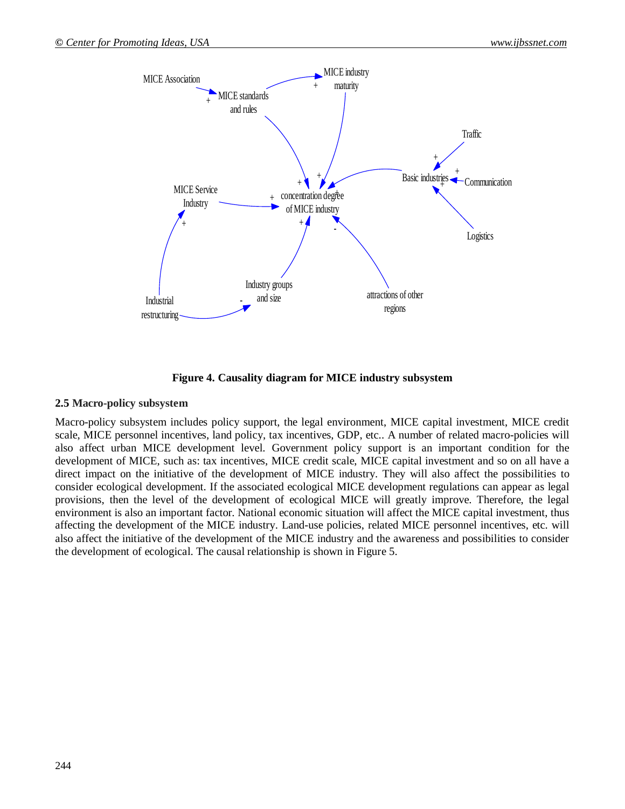

**Figure 4. Causality diagram for MICE industry subsystem**

#### **2.5 Macro-policy subsystem**

Macro-policy subsystem includes policy support, the legal environment, MICE capital investment, MICE credit scale, MICE personnel incentives, land policy, tax incentives, GDP, etc.. A number of related macro-policies will also affect urban MICE development level. Government policy support is an important condition for the development of MICE, such as: tax incentives, MICE credit scale, MICE capital investment and so on all have a direct impact on the initiative of the development of MICE industry. They will also affect the possibilities to consider ecological development. If the associated ecological MICE development regulations can appear as legal provisions, then the level of the development of ecological MICE will greatly improve. Therefore, the legal environment is also an important factor. National economic situation will affect the MICE capital investment, thus affecting the development of the MICE industry. Land-use policies, related MICE personnel incentives, etc. will also affect the initiative of the development of the MICE industry and the awareness and possibilities to consider the development of ecological. The causal relationship is shown in Figure 5.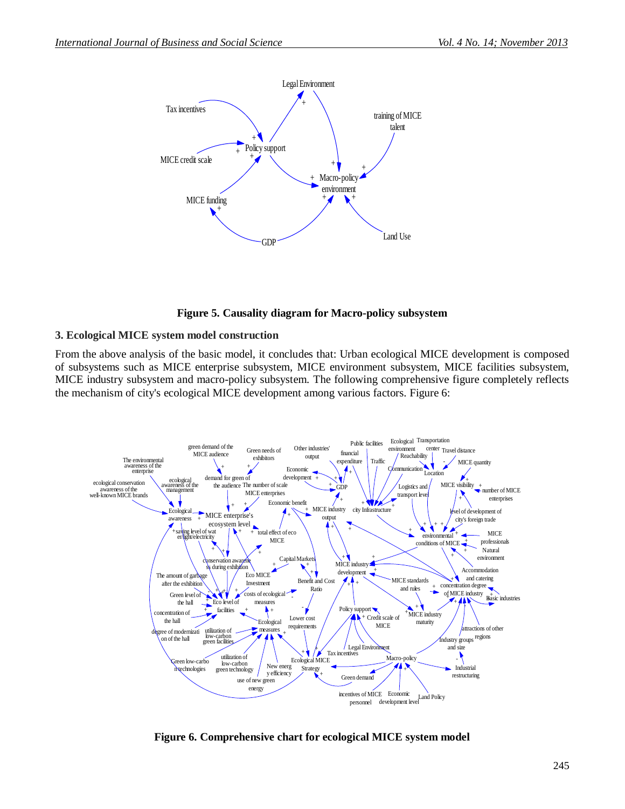

## **Figure 5. Causality diagram for Macro-policy subsystem**

## **3. Ecological MICE system model construction**

From the above analysis of the basic model, it concludes that: Urban ecological MICE development is composed of subsystems such as MICE enterprise subsystem, MICE environment subsystem, MICE facilities subsystem, MICE industry subsystem and macro-policy subsystem. The following comprehensive figure completely reflects the mechanism of city's ecological MICE development among various factors. Figure 6:



**Figure 6. Comprehensive chart for ecological MICE system model**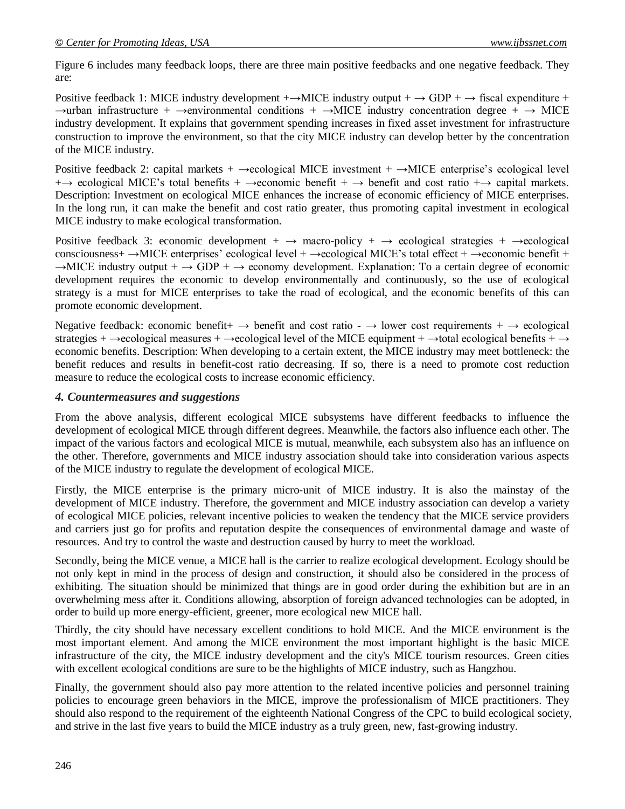Figure 6 includes many feedback loops, there are three main positive feedbacks and one negative feedback. They are:

Positive feedback 1: MICE industry development  $+\rightarrow$ MICE industry output  $+\rightarrow$  GDP  $+\rightarrow$  fiscal expenditure +  $\rightarrow$ urban infrastructure +  $\rightarrow$ environmental conditions +  $\rightarrow$ MICE industry concentration degree +  $\rightarrow$  MICE industry development. It explains that government spending increases in fixed asset investment for infrastructure construction to improve the environment, so that the city MICE industry can develop better by the concentration of the MICE industry.

Positive feedback 2: capital markets +  $\rightarrow$ ecological MICE investment +  $\rightarrow$ MICE enterprise's ecological level  $+\rightarrow$  ecological MICE's total benefits +  $\rightarrow$ economic benefit +  $\rightarrow$  benefit and cost ratio + $\rightarrow$  capital markets. Description: Investment on ecological MICE enhances the increase of economic efficiency of MICE enterprises. In the long run, it can make the benefit and cost ratio greater, thus promoting capital investment in ecological MICE industry to make ecological transformation.

Positive feedback 3: economic development +  $\rightarrow$  macro-policy +  $\rightarrow$  ecological strategies +  $\rightarrow$ ecological consciousness+ →MICE enterprises' ecological level + →ecological MICE's total effect + →economic benefit +  $\rightarrow$ MICE industry output  $+$   $\rightarrow$  GDP  $+$   $\rightarrow$  economy development. Explanation: To a certain degree of economic development requires the economic to develop environmentally and continuously, so the use of ecological strategy is a must for MICE enterprises to take the road of ecological, and the economic benefits of this can promote economic development.

Negative feedback: economic benefit  $\rightarrow$  benefit and cost ratio -  $\rightarrow$  lower cost requirements +  $\rightarrow$  ecological strategies +  $\rightarrow$ ecological measures +  $\rightarrow$ ecological level of the MICE equipment +  $\rightarrow$ total ecological benefits +  $\rightarrow$ economic benefits. Description: When developing to a certain extent, the MICE industry may meet bottleneck: the benefit reduces and results in benefit-cost ratio decreasing. If so, there is a need to promote cost reduction measure to reduce the ecological costs to increase economic efficiency.

#### *4. Countermeasures and suggestions*

From the above analysis, different ecological MICE subsystems have different feedbacks to influence the development of ecological MICE through different degrees. Meanwhile, the factors also influence each other. The impact of the various factors and ecological MICE is mutual, meanwhile, each subsystem also has an influence on the other. Therefore, governments and MICE industry association should take into consideration various aspects of the MICE industry to regulate the development of ecological MICE.

Firstly, the MICE enterprise is the primary micro-unit of MICE industry. It is also the mainstay of the development of MICE industry. Therefore, the government and MICE industry association can develop a variety of ecological MICE policies, relevant incentive policies to weaken the tendency that the MICE service providers and carriers just go for profits and reputation despite the consequences of environmental damage and waste of resources. And try to control the waste and destruction caused by hurry to meet the workload.

Secondly, being the MICE venue, a MICE hall is the carrier to realize ecological development. Ecology should be not only kept in mind in the process of design and construction, it should also be considered in the process of exhibiting. The situation should be minimized that things are in good order during the exhibition but are in an overwhelming mess after it. Conditions allowing, absorption of foreign advanced technologies can be adopted, in order to build up more energy-efficient, greener, more ecological new MICE hall.

Thirdly, the city should have necessary excellent conditions to hold MICE. And the MICE environment is the most important element. And among the MICE environment the most important highlight is the basic MICE infrastructure of the city, the MICE industry development and the city's MICE tourism resources. Green cities with excellent ecological conditions are sure to be the highlights of MICE industry, such as Hangzhou.

Finally, the government should also pay more attention to the related incentive policies and personnel training policies to encourage green behaviors in the MICE, improve the professionalism of MICE practitioners. They should also respond to the requirement of the eighteenth National Congress of the CPC to build ecological society, and strive in the last five years to build the MICE industry as a truly green, new, fast-growing industry.